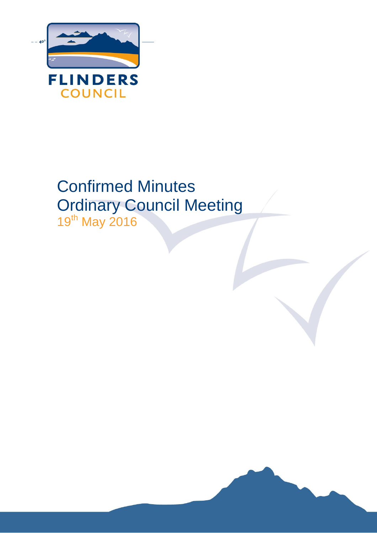

# Confirmed Minutes Ordinary Council Meeting

19th May 2016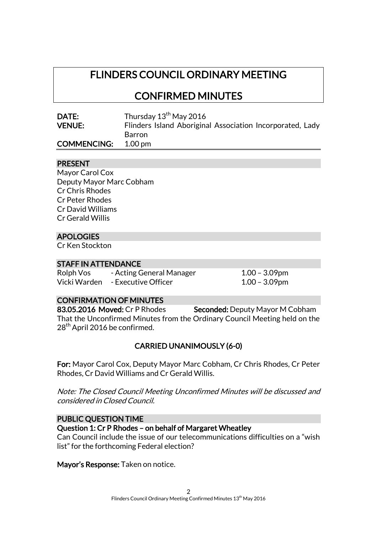# FLINDERS COUNCIL ORDINARY MEETING

CONFIRMED MINUTES

| DATE:              | Thursday 13 <sup>th</sup> May 2016                        |
|--------------------|-----------------------------------------------------------|
| <b>VENUE:</b>      | Flinders Island Aboriginal Association Incorporated, Lady |
|                    | Barron                                                    |
| <b>COMMENCING:</b> | 1.00 <sub>pm</sub>                                        |

# PRESENT

Mayor Carol Cox Deputy Mayor Marc Cobham Cr Chris Rhodes Cr Peter Rhodes Cr David Williams Cr Gerald Willis

# APOLOGIES

Cr Ken Stockton

# STAFF IN ATTENDANCE

Rolph Vos - Acting General Manager 1.00 - 3.09pm Vicki Warden - Executive Officer 1.00 – 3.09pm

# CONFIRMATION OF MINUTES

83.05.2016 Moved: Cr P Rhodes Seconded: Deputy Mayor M Cobham That the Unconfirmed Minutes from the Ordinary Council Meeting held on the 28<sup>th</sup> April 2016 be confirmed.

# CARRIED UNANIMOUSLY (6-0)

For: Mayor Carol Cox, Deputy Mayor Marc Cobham, Cr Chris Rhodes, Cr Peter Rhodes, Cr David Williams and Cr Gerald Willis.

Note: The Closed Council Meeting Unconfirmed Minutes will be discussed and considered in Closed Council.

# PUBLIC QUESTION TIME

Question 1: Cr P Rhodes – on behalf of Margaret Wheatley

Can Council include the issue of our telecommunications difficulties on a "wish list" for the forthcoming Federal election?

Mayor's Response: Taken on notice.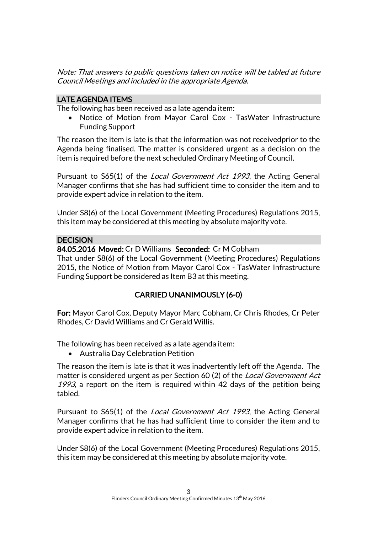Note: That answers to public questions taken on notice will be tabled at future Council Meetings and included in the appropriate Agenda.

# LATE AGENDA ITEMS

The following has been received as a late agenda item:

 Notice of Motion from Mayor Carol Cox - TasWater Infrastructure Funding Support

The reason the item is late is that the information was not receivedprior to the Agenda being finalised. The matter is considered urgent as a decision on the item is required before the next scheduled Ordinary Meeting of Council.

Pursuant to S65(1) of the *Local Government Act 1993*, the Acting General Manager confirms that she has had sufficient time to consider the item and to provide expert advice in relation to the item.

Under S8(6) of the Local Government (Meeting Procedures) Regulations 2015, this item may be considered at this meeting by absolute majority vote.

# DECISION

84.05.2016 Moved: Cr D Williams Seconded: Cr M Cobham

That under S8(6) of the Local Government (Meeting Procedures) Regulations 2015, the Notice of Motion from Mayor Carol Cox - TasWater Infrastructure Funding Support be considered as Item B3 at this meeting.

# CARRIED UNANIMOUSLY (6-0)

For: Mayor Carol Cox, Deputy Mayor Marc Cobham, Cr Chris Rhodes, Cr Peter Rhodes, Cr David Williams and Cr Gerald Willis.

The following has been received as a late agenda item:

Australia Day Celebration Petition

The reason the item is late is that it was inadvertently left off the Agenda. The matter is considered urgent as per Section 60 (2) of the Local Government Act 1993, a report on the item is required within 42 days of the petition being tabled.

Pursuant to S65(1) of the Local Government Act 1993, the Acting General Manager confirms that he has had sufficient time to consider the item and to provide expert advice in relation to the item.

Under S8(6) of the Local Government (Meeting Procedures) Regulations 2015, this item may be considered at this meeting by absolute majority vote.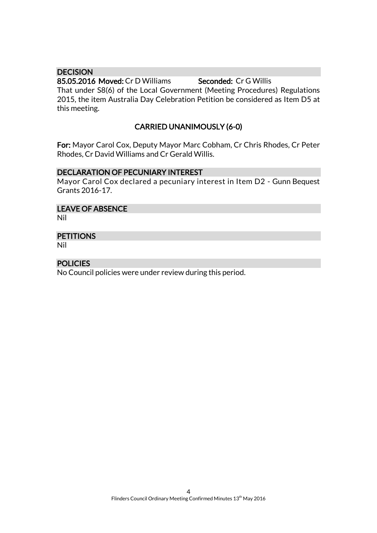# **DECISION**

85.05.2016 Moved: Cr D Williams Seconded: Cr G Willis That under S8(6) of the Local Government (Meeting Procedures) Regulations 2015, the item Australia Day Celebration Petition be considered as Item D5 at this meeting.

# CARRIED UNANIMOUSLY (6-0)

For: Mayor Carol Cox, Deputy Mayor Marc Cobham, Cr Chris Rhodes, Cr Peter Rhodes, Cr David Williams and Cr Gerald Willis.

# DECLARATION OF PECUNIARY INTEREST

Mayor Carol Cox declared a pecuniary interest in Item D2 - Gunn Bequest Grants 2016-17.

# LEAVE OF ABSENCE

Nil

# **PETITIONS**

Nil

# POLICIES

No Council policies were under review during this period.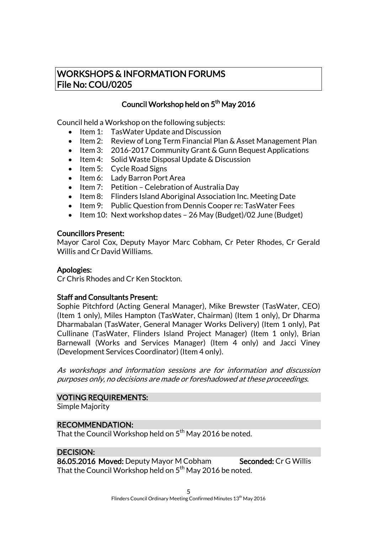# WORKSHOPS & INFORMATION FORUMS File No: COU/0205

# Council Workshop held on 5<sup>th</sup> May 2016

Council held a Workshop on the following subjects:

- Item 1: Tas Water Update and Discussion
- Item 2: Review of Long Term Financial Plan & Asset Management Plan
- Item 3: 2016-2017 Community Grant & Gunn Bequest Applications
- Item 4: Solid Waste Disposal Update & Discussion
- $\bullet$  Item 5: Cycle Road Signs
- Item 6: Lady Barron Port Area
- Item 7: Petition Celebration of Australia Day
- Item 8: Flinders Island Aboriginal Association Inc. Meeting Date
- Item 9: Public Question from Dennis Cooper re: Tas Water Fees
- Item 10: Next workshop dates 26 May (Budget)/02 June (Budget)

# Councillors Present:

Mayor Carol Cox, Deputy Mayor Marc Cobham, Cr Peter Rhodes, Cr Gerald Willis and Cr David Williams.

# Apologies:

Cr Chris Rhodes and Cr Ken Stockton.

# Staff and Consultants Present:

Sophie Pitchford (Acting General Manager), Mike Brewster (TasWater, CEO) (Item 1 only), Miles Hampton (TasWater, Chairman) (Item 1 only), Dr Dharma Dharmabalan (TasWater, General Manager Works Delivery) (Item 1 only), Pat Cullinane (TasWater, Flinders Island Project Manager) (Item 1 only), Brian Barnewall (Works and Services Manager) (Item 4 only) and Jacci Viney (Development Services Coordinator) (Item 4 only).

As workshops and information sessions are for information and discussion purposes only, no decisions are made or foreshadowed at these proceedings.

# VOTING REQUIREMENTS:

Simple Majority

# RECOMMENDATION:

That the Council Workshop held on  $5^{\mathsf{th}}$  May 2016 be noted.

# DECISION:

86.05.2016 Moved: Deputy Mayor M Cobham Seconded: Cr G Willis That the Council Workshop held on  $5^{\text{th}}$  May 2016 be noted.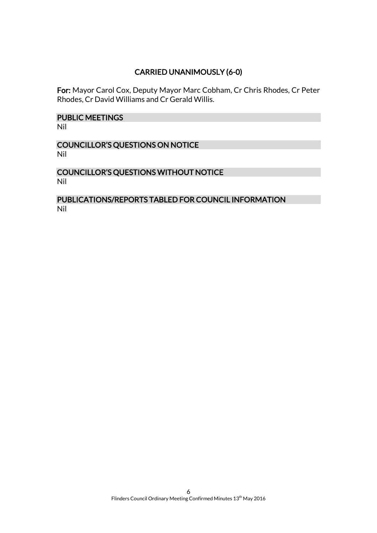# CARRIED UNANIMOUSLY (6-0)

For: Mayor Carol Cox, Deputy Mayor Marc Cobham, Cr Chris Rhodes, Cr Peter Rhodes, Cr David Williams and Cr Gerald Willis.

# PUBLIC MEETINGS

Nil

# COUNCILLOR'S QUESTIONS ON NOTICE Nil

# COUNCILLOR'S QUESTIONS WITHOUT NOTICE Nil

# PUBLICATIONS/REPORTS TABLED FOR COUNCIL INFORMATION Nil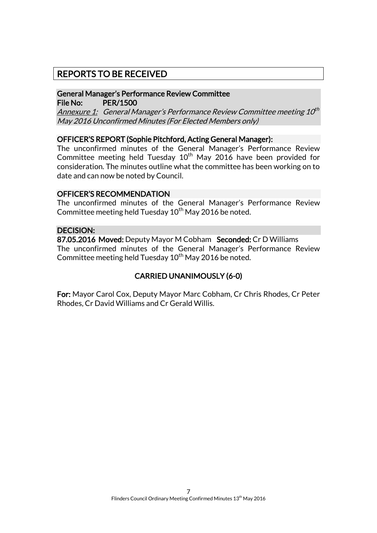# REPORTS TO BE RECEIVED

# General Manager's Performance Review Committee File No: PER/1500

<u>Annexure 1:</u> General Manager's Performance Review Committee meeting 10<sup>th</sup> May 2016 Unconfirmed Minutes (For Elected Members only)

# OFFICER'S REPORT (Sophie Pitchford, Acting General Manager):

The unconfirmed minutes of the General Manager's Performance Review Committee meeting held Tuesday  $10<sup>th</sup>$  May 2016 have been provided for consideration. The minutes outline what the committee has been working on to date and can now be noted by Council.

# OFFICER'S RECOMMENDATION

The unconfirmed minutes of the General Manager's Performance Review Committee meeting held Tuesday  $10^{th}$  May 2016 be noted.

# DECISION:

87.05.2016 Moved: Deputy Mayor M Cobham Seconded: Cr D Williams The unconfirmed minutes of the General Manager's Performance Review Committee meeting held Tuesday  $10^{th}$  May 2016 be noted.

# CARRIED UNANIMOUSLY (6-0)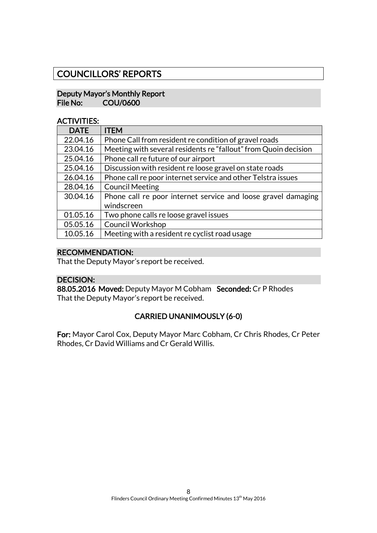# COUNCILLORS' REPORTS

# Deputy Mayor's Monthly Report File No: COU/0600

# ACTIVITIES:

| <b>DATE</b> | <b>ITEM</b>                                                     |
|-------------|-----------------------------------------------------------------|
| 22.04.16    | Phone Call from resident re condition of gravel roads           |
| 23.04.16    | Meeting with several residents re "fallout" from Quoin decision |
| 25.04.16    | Phone call re future of our airport                             |
| 25.04.16    | Discussion with resident re loose gravel on state roads         |
| 26.04.16    | Phone call re poor internet service and other Telstra issues    |
| 28.04.16    | <b>Council Meeting</b>                                          |
| 30.04.16    | Phone call re poor internet service and loose gravel damaging   |
|             | windscreen                                                      |
| 01.05.16    | Two phone calls re loose gravel issues                          |
| 05.05.16    | <b>Council Workshop</b>                                         |
| 10.05.16    | Meeting with a resident re cyclist road usage                   |

# RECOMMENDATION:

That the Deputy Mayor's report be received.

# DECISION:

88.05.2016 Moved: Deputy Mayor M Cobham Seconded: Cr P Rhodes That the Deputy Mayor's report be received.

# CARRIED UNANIMOUSLY (6-0)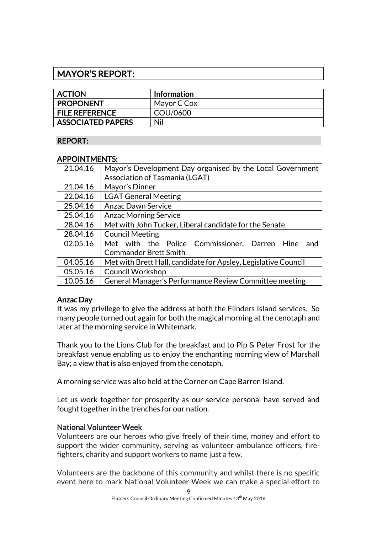# MAYOR'S REPORT:

| <b>ACTION</b>            | Information |
|--------------------------|-------------|
| <b>PROPONENT</b>         | Mayor C Cox |
| <b>FILE REFERENCE</b>    | COU/0600    |
| <b>ASSOCIATED PAPERS</b> | Nil         |

# REPORT:

# APPOINTMENTS:

| 21.04.16 | Mayor's Development Day organised by the Local Government      |
|----------|----------------------------------------------------------------|
|          | Association of Tasmania (LGAT)                                 |
| 21.04.16 | Mayor's Dinner                                                 |
| 22.04.16 | <b>LGAT General Meeting</b>                                    |
| 25.04.16 | <b>Anzac Dawn Service</b>                                      |
| 25.04.16 | <b>Anzac Morning Service</b>                                   |
| 28.04.16 | Met with John Tucker, Liberal candidate for the Senate         |
| 28.04.16 | <b>Council Meeting</b>                                         |
| 02.05.16 | Met with the Police Commissioner, Darren Hine<br>and           |
|          | <b>Commander Brett Smith</b>                                   |
| 04.05.16 | Met with Brett Hall, candidate for Apsley, Legislative Council |
| 05.05.16 | <b>Council Workshop</b>                                        |
| 10.05.16 | General Manager's Performance Review Committee meeting         |

# Anzac Day

It was my privilege to give the address at both the Flinders Island services. So many people turned out again for both the magical morning at the cenotaph and later at the morning service in Whitemark.

Thank you to the Lions Club for the breakfast and to Pip & Peter Frost for the breakfast venue enabling us to enjoy the enchanting morning view of Marshall Bay; a view that is also enjoyed from the cenotaph.

A morning service was also held at the Corner on Cape Barren Island.

Let us work together for prosperity as our service personal have served and fought together in the trenches for our nation.

# National Volunteer Week

Volunteers are our heroes who give freely of their time, money and effort to support the wider community, serving as volunteer ambulance officers, firefighters, charity and support workers to name just a few.

Volunteers are the backbone of this community and whilst there is no specific event here to mark National Volunteer Week we can make a special effort to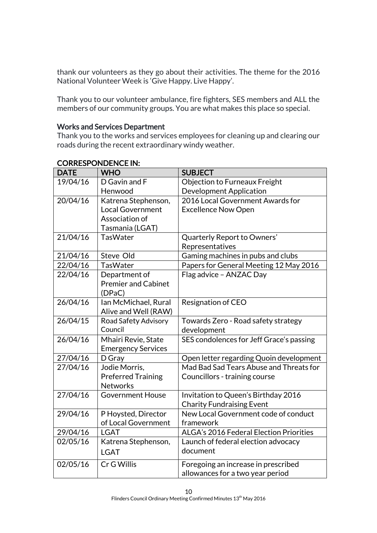thank our volunteers as they go about their activities. The theme for the 2016 National Volunteer Week is 'Give Happy. Live Happy'.

Thank you to our volunteer ambulance, fire fighters, SES members and ALL the members of our community groups. You are what makes this place so special.

# Works and Services Department

Thank you to the works and services employees for cleaning up and clearing our roads during the recent extraordinary windy weather.

| <b>DATE</b> | <b>WHO</b>                 | <b>SUBJECT</b>                           |
|-------------|----------------------------|------------------------------------------|
| 19/04/16    | D Gavin and F              | Objection to Furneaux Freight            |
|             | Henwood                    | <b>Development Application</b>           |
| 20/04/16    | Katrena Stephenson,        | 2016 Local Government Awards for         |
|             | <b>Local Government</b>    | <b>Excellence Now Open</b>               |
|             | Association of             |                                          |
|             | Tasmania (LGAT)            |                                          |
| 21/04/16    | <b>TasWater</b>            | Quarterly Report to Owners'              |
|             |                            | Representatives                          |
| 21/04/16    | Steve Old                  | Gaming machines in pubs and clubs        |
| 22/04/16    | <b>TasWater</b>            | Papers for General Meeting 12 May 2016   |
| 22/04/16    | Department of              | Flag advice - ANZAC Day                  |
|             | <b>Premier and Cabinet</b> |                                          |
|             | (DPaC)                     |                                          |
| 26/04/16    | Ian McMichael, Rural       | Resignation of CEO                       |
|             | Alive and Well (RAW)       |                                          |
| 26/04/15    | Road Safety Advisory       | Towards Zero - Road safety strategy      |
|             | Council                    | development                              |
| 26/04/16    | Mhairi Revie, State        | SES condolences for Jeff Grace's passing |
|             | <b>Emergency Services</b>  |                                          |
| 27/04/16    | D Gray                     | Open letter regarding Quoin development  |
| 27/04/16    | Jodie Morris,              | Mad Bad Sad Tears Abuse and Threats for  |
|             | <b>Preferred Training</b>  | Councillors - training course            |
|             | <b>Networks</b>            |                                          |
| 27/04/16    | <b>Government House</b>    | Invitation to Queen's Birthday 2016      |
|             |                            | <b>Charity Fundraising Event</b>         |
| 29/04/16    | P Hoysted, Director        | New Local Government code of conduct     |
|             | of Local Government        | framework                                |
| 29/04/16    | <b>LGAT</b>                | ALGA's 2016 Federal Election Priorities  |
| 02/05/16    | Katrena Stephenson,        | Launch of federal election advocacy      |
|             | <b>LGAT</b>                | document                                 |
| 02/05/16    | Cr G Willis                | Foregoing an increase in prescribed      |
|             |                            | allowances for a two year period         |

# CORRESPONDENCE IN: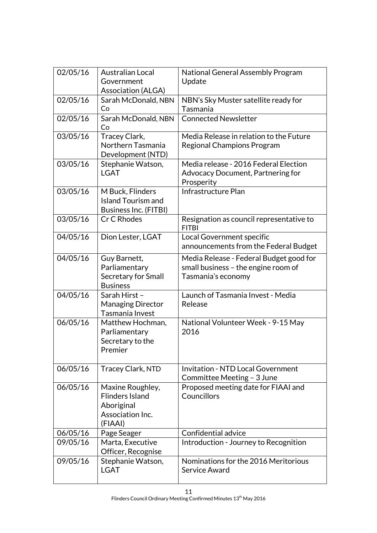| 02/05/16 | <b>Australian Local</b><br>Government                                                   | National General Assembly Program<br>Update                                                          |
|----------|-----------------------------------------------------------------------------------------|------------------------------------------------------------------------------------------------------|
|          | <b>Association (ALGA)</b>                                                               |                                                                                                      |
| 02/05/16 | Sarah McDonald, NBN<br>Co                                                               | NBN's Sky Muster satellite ready for<br>Tasmania                                                     |
| 02/05/16 | Sarah McDonald, NBN<br>Co                                                               | <b>Connected Newsletter</b>                                                                          |
| 03/05/16 | Tracey Clark,<br>Northern Tasmania<br>Development (NTD)                                 | Media Release in relation to the Future<br><b>Regional Champions Program</b>                         |
| 03/05/16 | Stephanie Watson,<br><b>LGAT</b>                                                        | Media release - 2016 Federal Election<br>Advocacy Document, Partnering for<br>Prosperity             |
| 03/05/16 | M Buck, Flinders<br><b>Island Tourism and</b><br><b>Business Inc. (FITBI)</b>           | Infrastructure Plan                                                                                  |
| 03/05/16 | Cr C Rhodes                                                                             | Resignation as council representative to<br><b>FITBI</b>                                             |
| 04/05/16 | Dion Lester, LGAT                                                                       | Local Government specific<br>announcements from the Federal Budget                                   |
| 04/05/16 | Guy Barnett,<br>Parliamentary<br>Secretary for Small<br><b>Business</b>                 | Media Release - Federal Budget good for<br>small business - the engine room of<br>Tasmania's economy |
| 04/05/16 | Sarah Hirst-<br><b>Managing Director</b><br>Tasmania Invest                             | Launch of Tasmania Invest - Media<br>Release                                                         |
| 06/05/16 | Matthew Hochman,<br>Parliamentary<br>Secretary to the<br>Premier                        | National Volunteer Week - 9-15 May<br>2016                                                           |
| 06/05/16 | <b>Tracey Clark, NTD</b>                                                                | <b>Invitation - NTD Local Government</b><br>Committee Meeting - 3 June                               |
| 06/05/16 | Maxine Roughley,<br><b>Flinders Island</b><br>Aboriginal<br>Association Inc.<br>(FIAAI) | Proposed meeting date for FIAAI and<br>Councillors                                                   |
| 06/05/16 | Page Seager                                                                             | Confidential advice                                                                                  |
| 09/05/16 | Marta, Executive<br>Officer, Recognise                                                  | Introduction - Journey to Recognition                                                                |
| 09/05/16 | Stephanie Watson,<br><b>LGAT</b>                                                        | Nominations for the 2016 Meritorious<br>Service Award                                                |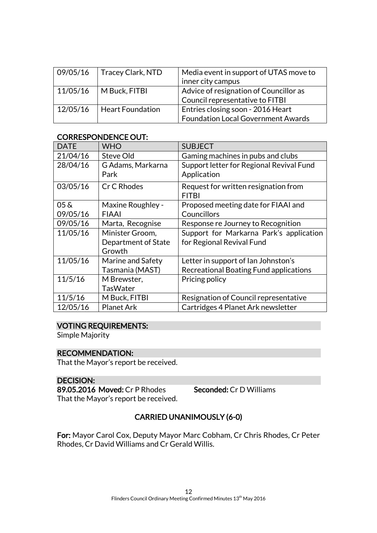| 09/05/16 | Tracey Clark, NTD       | Media event in support of UTAS move to<br>inner city campus                    |
|----------|-------------------------|--------------------------------------------------------------------------------|
| 11/05/16 | M Buck, FITBI           | Advice of resignation of Councillor as<br>Council representative to FITBI      |
| 12/05/16 | <b>Heart Foundation</b> | Entries closing soon - 2016 Heart<br><b>Foundation Local Government Awards</b> |

# CORRESPONDENCE OUT:

| <b>DATE</b>        | <b>WHO</b>          | <b>SUBJECT</b>                           |
|--------------------|---------------------|------------------------------------------|
| 21/04/16           | Steve Old           | Gaming machines in pubs and clubs        |
| 28/04/16           | G Adams, Markarna   | Support letter for Regional Revival Fund |
|                    | Park                | Application                              |
| 03/05/16           | Cr C Rhodes         | Request for written resignation from     |
|                    |                     | <b>FITBI</b>                             |
| $05\,\mathrm{\AA}$ | Maxine Roughley -   | Proposed meeting date for FIAAI and      |
| 09/05/16           | <b>FIAAI</b>        | Councillors                              |
| 09/05/16           | Marta, Recognise    | Response re Journey to Recognition       |
| 11/05/16           | Minister Groom,     | Support for Markarna Park's application  |
|                    | Department of State | for Regional Revival Fund                |
|                    | Growth              |                                          |
| 11/05/16           | Marine and Safety   | Letter in support of Ian Johnston's      |
|                    | Tasmania (MAST)     | Recreational Boating Fund applications   |
| 11/5/16            | M Brewster,         | Pricing policy                           |
|                    | TasWater            |                                          |
| 11/5/16            | M Buck, FITBI       | Resignation of Council representative    |
| 12/05/16           | <b>Planet Ark</b>   | Cartridges 4 Planet Ark newsletter       |

# VOTING REQUIREMENTS:

Simple Majority

# RECOMMENDATION:

That the Mayor's report be received.

# DECISION:

89.05.2016 Moved: Cr P Rhodes Seconded: Cr D Williams That the Mayor's report be received.

# CARRIED UNANIMOUSLY (6-0)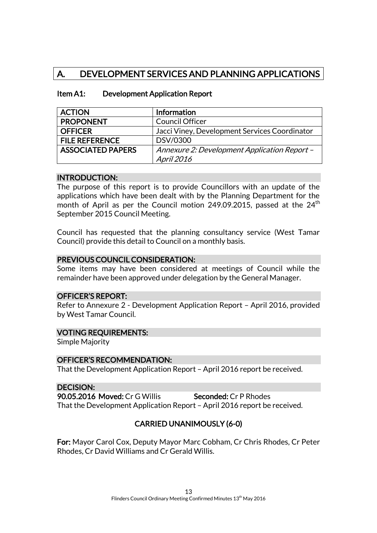# A. DEVELOPMENT SERVICES AND PLANNING APPLICATIONS

| Item A1: | <b>Development Application Report</b> |
|----------|---------------------------------------|
|----------|---------------------------------------|

| <b>ACTION</b>            | <b>Information</b>                            |
|--------------------------|-----------------------------------------------|
| <b>PROPONENT</b>         | <b>Council Officer</b>                        |
| <b>OFFICER</b>           | Jacci Viney, Development Services Coordinator |
| <b>FILE REFERENCE</b>    | DSV/0300                                      |
| <b>ASSOCIATED PAPERS</b> | Annexure 2: Development Application Report -  |
|                          | April 2016                                    |

# INTRODUCTION:

The purpose of this report is to provide Councillors with an update of the applications which have been dealt with by the Planning Department for the month of April as per the Council motion 249.09.2015, passed at the  $24<sup>th</sup>$ September 2015 Council Meeting.

Council has requested that the planning consultancy service (West Tamar Council) provide this detail to Council on a monthly basis.

# PREVIOUS COUNCIL CONSIDERATION:

Some items may have been considered at meetings of Council while the remainder have been approved under delegation by the General Manager.

# OFFICER'S REPORT:

Refer to Annexure 2 - Development Application Report – April 2016, provided by West Tamar Council.

# VOTING REQUIREMENTS:

Simple Majority

# OFFICER'S RECOMMENDATION:

That the Development Application Report – April 2016 report be received.

# DECISION:

90.05.2016 Moved: Cr G Willis Seconded: Cr P Rhodes That the Development Application Report – April 2016 report be received.

# CARRIED UNANIMOUSLY (6-0)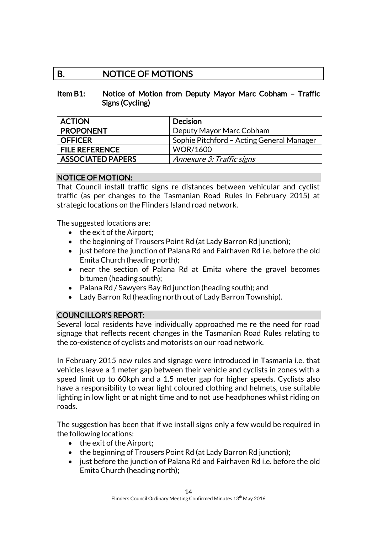# B. NOTICE OF MOTIONS

# Item B1: Notice of Motion from Deputy Mayor Marc Cobham – Traffic Signs (Cycling)

| <b>ACTION</b>            | <b>Decision</b>                           |
|--------------------------|-------------------------------------------|
| <b>PROPONENT</b>         | Deputy Mayor Marc Cobham                  |
| <b>OFFICER</b>           | Sophie Pitchford - Acting General Manager |
| <b>FILE REFERENCE</b>    | <b>WOR/1600</b>                           |
| <b>ASSOCIATED PAPERS</b> | Annexure 3: Traffic signs                 |

# NOTICE OF MOTION:

That Council install traffic signs re distances between vehicular and cyclist traffic (as per changes to the Tasmanian Road Rules in February 2015) at strategic locations on the Flinders Island road network.

The suggested locations are:

- the exit of the Airport:
- the beginning of Trousers Point Rd (at Lady Barron Rd junction);
- just before the junction of Palana Rd and Fairhaven Rd i.e. before the old Emita Church (heading north);
- near the section of Palana Rd at Emita where the gravel becomes bitumen (heading south);
- Palana Rd / Sawyers Bay Rd junction (heading south); and
- Lady Barron Rd (heading north out of Lady Barron Township).

# COUNCILLOR'S REPORT:

Several local residents have individually approached me re the need for road signage that reflects recent changes in the Tasmanian Road Rules relating to the co-existence of cyclists and motorists on our road network.

In February 2015 new rules and signage were introduced in Tasmania i.e. that vehicles leave a 1 meter gap between their vehicle and cyclists in zones with a speed limit up to 60kph and a 1.5 meter gap for higher speeds. Cyclists also have a responsibility to wear light coloured clothing and helmets, use suitable lighting in low light or at night time and to not use headphones whilst riding on roads.

The suggestion has been that if we install signs only a few would be required in the following locations:

- $\bullet$  the exit of the Airport;
- the beginning of Trousers Point Rd (at Lady Barron Rd junction);
- just before the junction of Palana Rd and Fairhaven Rd i.e. before the old Emita Church (heading north);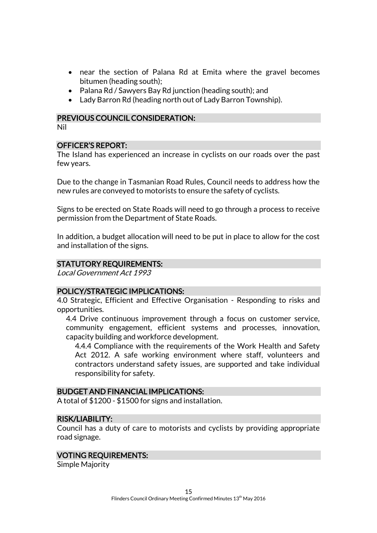- near the section of Palana Rd at Emita where the gravel becomes bitumen (heading south);
- Palana Rd / Sawyers Bay Rd junction (heading south); and
- Lady Barron Rd (heading north out of Lady Barron Township).

# PREVIOUS COUNCIL CONSIDERATION:

Nil

# OFFICER'S REPORT:

The Island has experienced an increase in cyclists on our roads over the past few years.

Due to the change in Tasmanian Road Rules, Council needs to address how the new rules are conveyed to motorists to ensure the safety of cyclists.

Signs to be erected on State Roads will need to go through a process to receive permission from the Department of State Roads.

In addition, a budget allocation will need to be put in place to allow for the cost and installation of the signs.

# STATUTORY REQUIREMENTS:

Local Government Act 1993

# POLICY/STRATEGIC IMPLICATIONS:

4.0 Strategic, Efficient and Effective Organisation - Responding to risks and opportunities.

4.4 Drive continuous improvement through a focus on customer service, community engagement, efficient systems and processes, innovation, capacity building and workforce development.

4.4.4 Compliance with the requirements of the Work Health and Safety Act 2012. A safe working environment where staff, volunteers and contractors understand safety issues, are supported and take individual responsibility for safety.

# BUDGET AND FINANCIAL IMPLICATIONS:

A total of \$1200 - \$1500 for signs and installation.

# RISK/LIABILITY:

Council has a duty of care to motorists and cyclists by providing appropriate road signage.

#### VOTING REQUIREMENTS:

Simple Majority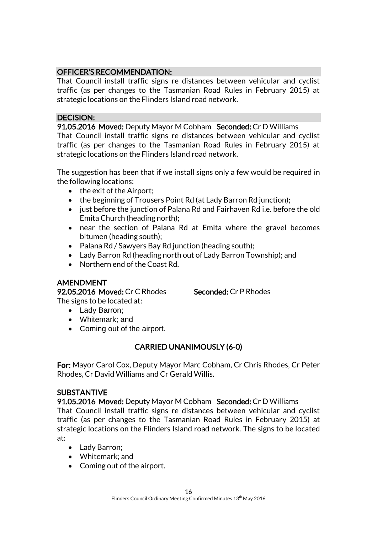# OFFICER'S RECOMMENDATION:

That Council install traffic signs re distances between vehicular and cyclist traffic (as per changes to the Tasmanian Road Rules in February 2015) at strategic locations on the Flinders Island road network.

# DECISION:

91.05.2016 Moved: Deputy Mayor M Cobham Seconded: Cr D Williams That Council install traffic signs re distances between vehicular and cyclist traffic (as per changes to the Tasmanian Road Rules in February 2015) at strategic locations on the Flinders Island road network.

The suggestion has been that if we install signs only a few would be required in the following locations:

- $\bullet$  the exit of the Airport;
- the beginning of Trousers Point Rd (at Lady Barron Rd junction);
- iust before the junction of Palana Rd and Fairhaven Rd i.e. before the old Emita Church (heading north);
- near the section of Palana Rd at Emita where the gravel becomes bitumen (heading south);
- Palana Rd / Sawyers Bay Rd junction (heading south);
- Lady Barron Rd (heading north out of Lady Barron Township); and
- Northern end of the Coast Rd.

# AMENDMENT

92.05.2016 Moved: Cr C Rhodes Seconded: Cr P Rhodes The signs to be located at:

- Lady Barron;
- Whitemark; and
- Coming out of the airport.

# CARRIED UNANIMOUSLY (6-0)

For: Mayor Carol Cox, Deputy Mayor Marc Cobham, Cr Chris Rhodes, Cr Peter Rhodes, Cr David Williams and Cr Gerald Willis.

# SUBSTANTIVE

91.05.2016 Moved: Deputy Mayor M Cobham Seconded: Cr D Williams That Council install traffic signs re distances between vehicular and cyclist traffic (as per changes to the Tasmanian Road Rules in February 2015) at strategic locations on the Flinders Island road network. The signs to be located at:

- Lady Barron;
- Whitemark; and
- Coming out of the airport.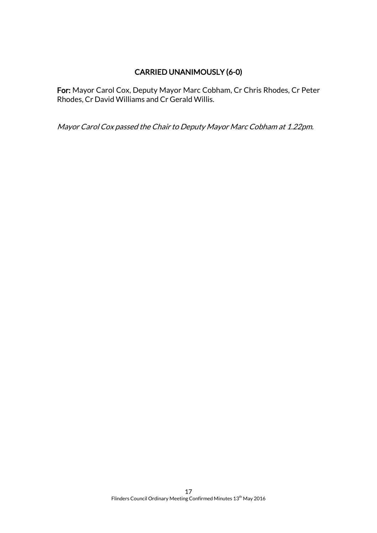# CARRIED UNANIMOUSLY (6-0)

For: Mayor Carol Cox, Deputy Mayor Marc Cobham, Cr Chris Rhodes, Cr Peter Rhodes, Cr David Williams and Cr Gerald Willis.

Mayor Carol Cox passed the Chair to Deputy Mayor Marc Cobham at 1.22pm.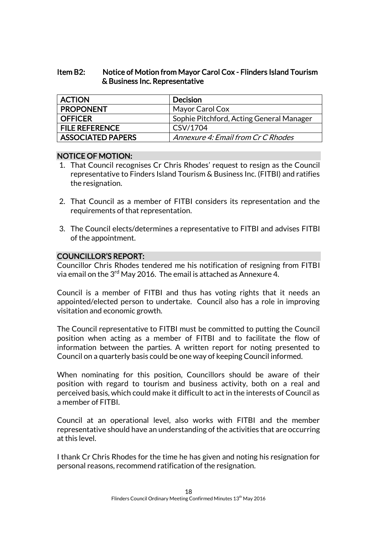# Item B2: Notice of Motion from Mayor Carol Cox - Flinders Island Tourism & Business Inc. Representative

| <b>ACTION</b>            | <b>Decision</b>                          |
|--------------------------|------------------------------------------|
| <b>PROPONENT</b>         | Mayor Carol Cox                          |
| <b>OFFICER</b>           | Sophie Pitchford, Acting General Manager |
| <b>FILE REFERENCE</b>    | CSV/1704                                 |
| <b>ASSOCIATED PAPERS</b> | Annexure 4: Email from Cr C Rhodes       |

# NOTICE OF MOTION:

- 1. That Council recognises Cr Chris Rhodes' request to resign as the Council representative to Finders Island Tourism & Business Inc. (FITBI) and ratifies the resignation.
- 2. That Council as a member of FITBI considers its representation and the requirements of that representation.
- 3. The Council elects/determines a representative to FITBI and advises FITBI of the appointment.

# COUNCILLOR'S REPORT:

Councillor Chris Rhodes tendered me his notification of resigning from FITBI via email on the 3 $^{\rm rd}$  May 2016. The email is attached as Annexure 4.

Council is a member of FITBI and thus has voting rights that it needs an appointed/elected person to undertake. Council also has a role in improving visitation and economic growth.

The Council representative to FITBI must be committed to putting the Council position when acting as a member of FITBI and to facilitate the flow of information between the parties. A written report for noting presented to Council on a quarterly basis could be one way of keeping Council informed.

When nominating for this position, Councillors should be aware of their position with regard to tourism and business activity, both on a real and perceived basis, which could make it difficult to act in the interests of Council as a member of FITBI.

Council at an operational level, also works with FITBI and the member representative should have an understanding of the activities that are occurring at this level.

I thank Cr Chris Rhodes for the time he has given and noting his resignation for personal reasons, recommend ratification of the resignation.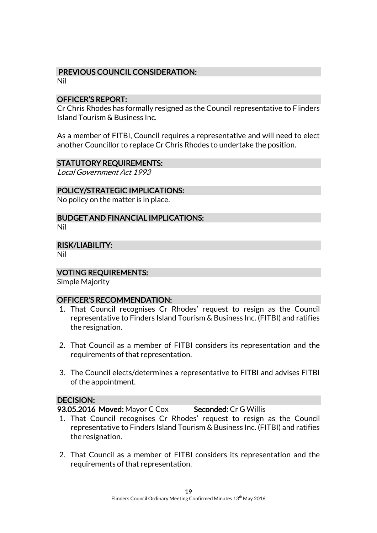# PREVIOUS COUNCIL CONSIDERATION:

Nil

# OFFICER'S REPORT:

Cr Chris Rhodes has formally resigned as the Council representative to Flinders Island Tourism & Business Inc.

As a member of FITBI, Council requires a representative and will need to elect another Councillor to replace Cr Chris Rhodes to undertake the position.

# STATUTORY REQUIREMENTS:

Local Government Act 1993

# POLICY/STRATEGIC IMPLICATIONS:

No policy on the matter is in place.

# BUDGET AND FINANCIAL IMPLICATIONS:

Nil

RISK/LIABILITY:

Nil

# VOTING REQUIREMENTS:

Simple Majority

# OFFICER'S RECOMMENDATION:

- 1. That Council recognises Cr Rhodes' request to resign as the Council representative to Finders Island Tourism & Business Inc. (FITBI) and ratifies the resignation.
- 2. That Council as a member of FITBI considers its representation and the requirements of that representation.
- 3. The Council elects/determines a representative to FITBI and advises FITBI of the appointment.

# DECISION:

93.05.2016 Moved: Mayor C Cox Seconded: Cr G Willis

- 1. That Council recognises Cr Rhodes' request to resign as the Council representative to Finders Island Tourism & Business Inc. (FITBI) and ratifies the resignation.
- 2. That Council as a member of FITBI considers its representation and the requirements of that representation.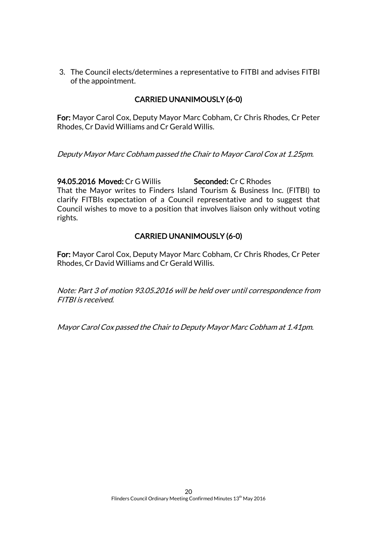3. The Council elects/determines a representative to FITBI and advises FITBI of the appointment.

# CARRIED UNANIMOUSLY (6-0)

For: Mayor Carol Cox, Deputy Mayor Marc Cobham, Cr Chris Rhodes, Cr Peter Rhodes, Cr David Williams and Cr Gerald Willis.

Deputy Mayor Marc Cobham passed the Chair to Mayor Carol Cox at 1.25pm.

94.05.2016 Moved: Cr G Willis Seconded: Cr C Rhodes That the Mayor writes to Finders Island Tourism & Business Inc. (FITBI) to clarify FITBIs expectation of a Council representative and to suggest that Council wishes to move to a position that involves liaison only without voting rights.

# CARRIED UNANIMOUSLY (6-0)

For: Mayor Carol Cox, Deputy Mayor Marc Cobham, Cr Chris Rhodes, Cr Peter Rhodes, Cr David Williams and Cr Gerald Willis.

Note: Part 3 of motion 93.05.2016 will be held over until correspondence from FITBI is received.

Mayor Carol Cox passed the Chair to Deputy Mayor Marc Cobham at 1.41pm.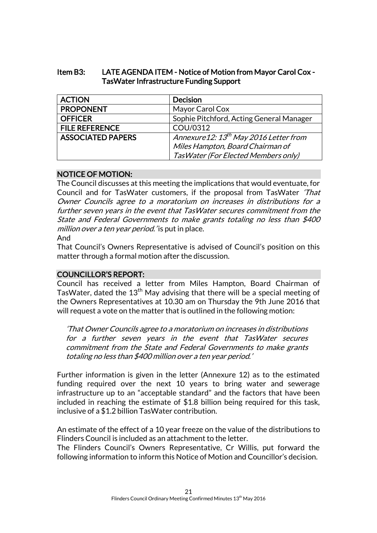# Item B3: LATE AGENDA ITEM - Notice of Motion from Mayor Carol Cox - TasWater Infrastructure Funding Support

| <b>ACTION</b>            | <b>Decision</b>                                   |
|--------------------------|---------------------------------------------------|
| <b>PROPONENT</b>         | Mayor Carol Cox                                   |
| <b>OFFICER</b>           | Sophie Pitchford, Acting General Manager          |
| <b>FILE REFERENCE</b>    | COU/0312                                          |
| <b>ASSOCIATED PAPERS</b> | Annexure12: 13 <sup>th</sup> May 2016 Letter from |
|                          | Miles Hampton, Board Chairman of                  |
|                          | Tas Water (For Elected Members only)              |

# NOTICE OF MOTION:

The Council discusses at this meeting the implications that would eventuate, for Council and for TasWater customers, if the proposal from TasWater 'That Owner Councils agree to a moratorium on increases in distributions for a further seven years in the event that TasWater secures commitment from the State and Federal Governments to make grants totaling no less than \$400 million over a ten year period.' is put in place. And

That Council's Owners Representative is advised of Council's position on this matter through a formal motion after the discussion.

# COUNCILLOR'S REPORT:

Council has received a letter from Miles Hampton, Board Chairman of TasWater, dated the  $13<sup>th</sup>$  May advising that there will be a special meeting of the Owners Representatives at 10.30 am on Thursday the 9th June 2016 that will request a vote on the matter that is outlined in the following motion:

'That Owner Councils agree to a moratorium on increases in distributions for a further seven years in the event that TasWater secures commitment from the State and Federal Governments to make grants totaling no less than \$400 million over a ten year period.'

Further information is given in the letter (Annexure 12) as to the estimated funding required over the next 10 years to bring water and sewerage infrastructure up to an "acceptable standard" and the factors that have been included in reaching the estimate of \$1.8 billion being required for this task, inclusive of a \$1.2 billion TasWater contribution.

An estimate of the effect of a 10 year freeze on the value of the distributions to Flinders Council is included as an attachment to the letter.

The Flinders Council's Owners Representative, Cr Willis, put forward the following information to inform this Notice of Motion and Councillor's decision.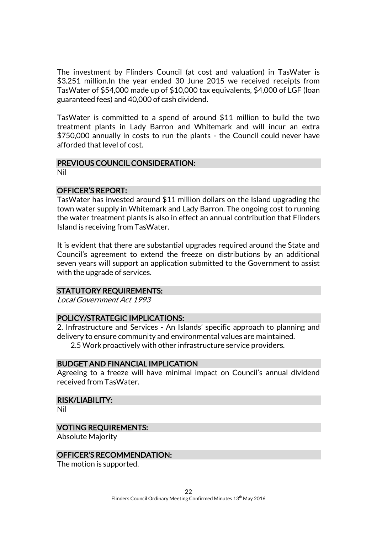The investment by Flinders Council (at cost and valuation) in TasWater is \$3.251 million.In the year ended 30 June 2015 we received receipts from TasWater of \$54,000 made up of \$10,000 tax equivalents, \$4,000 of LGF (loan guaranteed fees) and 40,000 of cash dividend.

TasWater is committed to a spend of around \$11 million to build the two treatment plants in Lady Barron and Whitemark and will incur an extra \$750,000 annually in costs to run the plants - the Council could never have afforded that level of cost.

# PREVIOUS COUNCIL CONSIDERATION:

Nil

# OFFICER'S REPORT:

TasWater has invested around \$11 million dollars on the Island upgrading the town water supply in Whitemark and Lady Barron. The ongoing cost to running the water treatment plants is also in effect an annual contribution that Flinders Island is receiving from TasWater.

It is evident that there are substantial upgrades required around the State and Council's agreement to extend the freeze on distributions by an additional seven years will support an application submitted to the Government to assist with the upgrade of services.

# STATUTORY REQUIREMENTS:

Local Government Act 1993

# POLICY/STRATEGIC IMPLICATIONS:

2. Infrastructure and Services - An Islands' specific approach to planning and delivery to ensure community and environmental values are maintained.

2.5 Work proactively with other infrastructure service providers.

# BUDGET AND FINANCIAL IMPLICATION

Agreeing to a freeze will have minimal impact on Council's annual dividend received from TasWater.

# RISK/LIABILITY:

Nil

# VOTING REQUIREMENTS:

Absolute Majority

#### OFFICER'S RECOMMENDATION:

The motion is supported.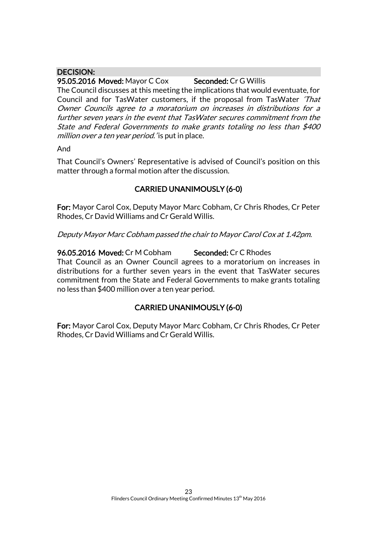# DECISION:

95.05.2016 Moved: Mayor C Cox Seconded: Cr G Willis The Council discusses at this meeting the implications that would eventuate, for Council and for TasWater customers, if the proposal from TasWater 'That Owner Councils agree to a moratorium on increases in distributions for a further seven years in the event that TasWater secures commitment from the State and Federal Governments to make grants totaling no less than \$400 million over a ten year period. 'is put in place.

And

That Council's Owners' Representative is advised of Council's position on this matter through a formal motion after the discussion.

# CARRIED UNANIMOUSLY (6-0)

For: Mayor Carol Cox, Deputy Mayor Marc Cobham, Cr Chris Rhodes, Cr Peter Rhodes, Cr David Williams and Cr Gerald Willis.

Deputy Mayor Marc Cobham passed the chair to Mayor Carol Cox at 1.42pm.

96.05.2016 Moved: Cr M Cobham Seconded: Cr C Rhodes That Council as an Owner Council agrees to a moratorium on increases in distributions for a further seven years in the event that TasWater secures commitment from the State and Federal Governments to make grants totaling no less than \$400 million over a ten year period.

# CARRIED UNANIMOUSLY (6-0)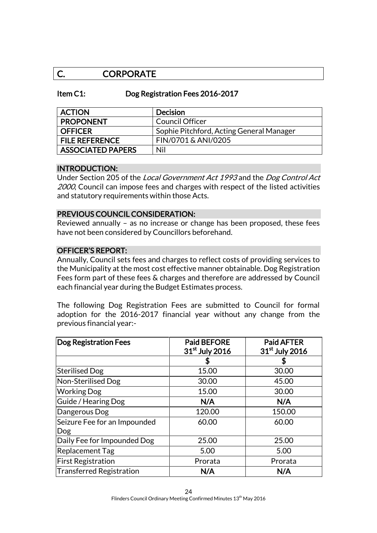# C. CORPORATE

# Item C1: Dog Registration Fees 2016-2017

| <b>ACTION</b>            | <b>Decision</b>                          |
|--------------------------|------------------------------------------|
| <b>PROPONENT</b>         | <b>Council Officer</b>                   |
| <b>OFFICER</b>           | Sophie Pitchford, Acting General Manager |
| <b>FILE REFERENCE</b>    | FIN/0701 & ANI/0205                      |
| <b>ASSOCIATED PAPERS</b> | Nil                                      |

#### INTRODUCTION:

Under Section 205 of the Local Government Act 1993 and the Dog Control Act 2000, Council can impose fees and charges with respect of the listed activities and statutory requirements within those Acts.

# PREVIOUS COUNCIL CONSIDERATION:

Reviewed annually – as no increase or change has been proposed, these fees have not been considered by Councillors beforehand.

# OFFICER'S REPORT:

Annually, Council sets fees and charges to reflect costs of providing services to the Municipality at the most cost effective manner obtainable. Dog Registration Fees form part of these fees & charges and therefore are addressed by Council each financial year during the Budget Estimates process.

The following Dog Registration Fees are submitted to Council for formal adoption for the 2016-2017 financial year without any change from the previous financial year:-

| <b>Dog Registration Fees</b>        | <b>Paid BEFORE</b><br>31 <sup>st</sup> July 2016 | <b>Paid AFTER</b><br>31 <sup>st</sup> July 2016 |
|-------------------------------------|--------------------------------------------------|-------------------------------------------------|
|                                     |                                                  |                                                 |
| <b>Sterilised Dog</b>               | 15.00                                            | 30.00                                           |
| Non-Sterilised Dog                  | 30.00                                            | 45.00                                           |
| <b>Working Dog</b>                  | 15.00                                            | 30.00                                           |
| Guide / Hearing Dog                 | N/A                                              | N/A                                             |
| Dangerous Dog                       | 120.00                                           | 150.00                                          |
| Seizure Fee for an Impounded<br>Dog | 60.00                                            | 60.00                                           |
| Daily Fee for Impounded Dog         | 25.00                                            | 25.00                                           |
| Replacement Tag                     | 5.00                                             | 5.00                                            |
| <b>First Registration</b>           | Prorata                                          | Prorata                                         |
| Transferred Registration            | N/A                                              | N/A                                             |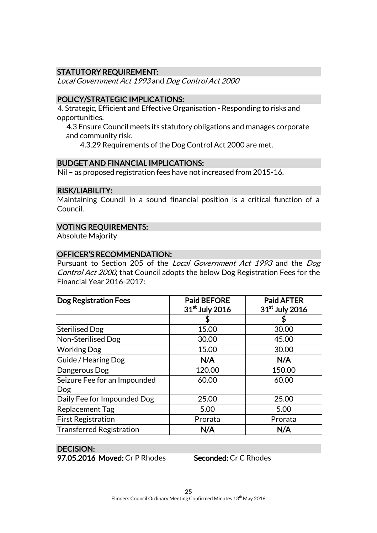# STATUTORY REQUIREMENT:

Local Government Act 1993 and Dog Control Act 2000

# POLICY/STRATEGIC IMPLICATIONS:

4. Strategic, Efficient and Effective Organisation - Responding to risks and opportunities.

4.3 Ensure Council meets its statutory obligations and manages corporate and community risk.

4.3.29 Requirements of the Dog Control Act 2000 are met.

# BUDGET AND FINANCIAL IMPLICATIONS:

Nil – as proposed registration fees have not increased from 2015-16.

# RISK/LIABILITY:

Maintaining Council in a sound financial position is a critical function of a Council.

# VOTING REQUIREMENTS:

Absolute Majority

# OFFICER'S RECOMMENDATION:

Pursuant to Section 205 of the Local Government Act 1993 and the Dog Control Act 2000; that Council adopts the below Dog Registration Fees for the Financial Year 2016-2017:

| <b>Dog Registration Fees</b>        | <b>Paid BEFORE</b><br>31 <sup>st</sup> July 2016 | <b>Paid AFTER</b><br>31 <sup>st</sup> July 2016 |
|-------------------------------------|--------------------------------------------------|-------------------------------------------------|
|                                     |                                                  |                                                 |
| Sterilised Dog                      | 15.00                                            | 30.00                                           |
| Non-Sterilised Dog                  | 30.00                                            | 45.00                                           |
| <b>Working Dog</b>                  | 15.00                                            | 30.00                                           |
| Guide / Hearing Dog                 | N/A                                              | N/A                                             |
| Dangerous Dog                       | 120.00                                           | 150.00                                          |
| Seizure Fee for an Impounded<br>Dog | 60.00                                            | 60.00                                           |
| Daily Fee for Impounded Dog         | 25.00                                            | 25.00                                           |
| Replacement Tag                     | 5.00                                             | 5.00                                            |
| <b>First Registration</b>           | Prorata                                          | Prorata                                         |
| Transferred Registration            | N/A                                              | N/A                                             |

# DECISION:

97.05.2016 Moved: Cr P Rhodes Seconded: Cr C Rhodes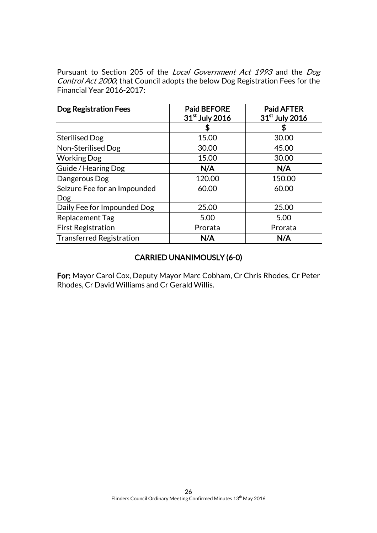Pursuant to Section 205 of the Local Government Act 1993 and the Dog Control Act 2000; that Council adopts the below Dog Registration Fees for the Financial Year 2016-2017:

| <b>Dog Registration Fees</b>        | <b>Paid BEFORE</b><br>31 <sup>st</sup> July 2016 | <b>Paid AFTER</b><br>31 <sup>st</sup> July 2016 |
|-------------------------------------|--------------------------------------------------|-------------------------------------------------|
|                                     |                                                  | S                                               |
| <b>Sterilised Dog</b>               | 15.00                                            | 30.00                                           |
| Non-Sterilised Dog                  | 30.00                                            | 45.00                                           |
| <b>Working Dog</b>                  | 15.00                                            | 30.00                                           |
| Guide / Hearing Dog                 | N/A                                              | N/A                                             |
| Dangerous Dog                       | 120.00                                           | 150.00                                          |
| Seizure Fee for an Impounded<br>Dog | 60.00                                            | 60.00                                           |
| Daily Fee for Impounded Dog         | 25.00                                            | 25.00                                           |
| Replacement Tag                     | 5.00                                             | 5.00                                            |
| <b>First Registration</b>           | Prorata                                          | Prorata                                         |
| Transferred Registration            | N/A                                              | N/A                                             |

# CARRIED UNANIMOUSLY (6-0)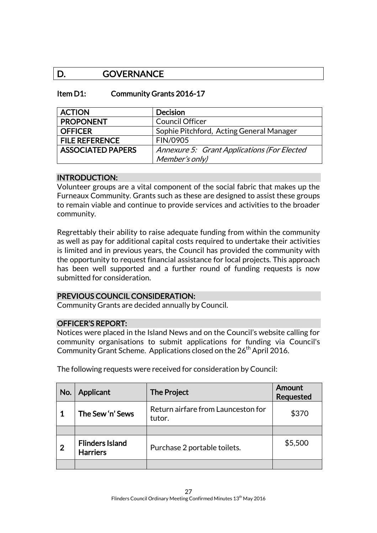# D. **GOVERNANCE**

# Item D1: Community Grants 2016-17

| <b>ACTION</b>            | <b>Decision</b>                             |
|--------------------------|---------------------------------------------|
| <b>PROPONENT</b>         | <b>Council Officer</b>                      |
| <b>OFFICER</b>           | Sophie Pitchford, Acting General Manager    |
| <b>FILE REFERENCE</b>    | FIN/0905                                    |
| <b>ASSOCIATED PAPERS</b> | Annexure 5: Grant Applications (For Elected |
|                          | Member's only)                              |

# INTRODUCTION:

Volunteer groups are a vital component of the social fabric that makes up the Furneaux Community. Grants such as these are designed to assist these groups to remain viable and continue to provide services and activities to the broader community.

Regrettably their ability to raise adequate funding from within the community as well as pay for additional capital costs required to undertake their activities is limited and in previous years, the Council has provided the community with the opportunity to request financial assistance for local projects. This approach has been well supported and a further round of funding requests is now submitted for consideration.

# PREVIOUS COUNCIL CONSIDERATION:

Community Grants are decided annually by Council.

# OFFICER'S REPORT:

Notices were placed in the Island News and on the Council's website calling for community organisations to submit applications for funding via Council's Community Grant Scheme. Applications closed on the 26<sup>th</sup> April 2016.

| No.            | <b>Applicant</b>                          | <b>The Project</b>                           | <b>Amount</b><br><b>Requested</b> |
|----------------|-------------------------------------------|----------------------------------------------|-----------------------------------|
| $\mathbf 1$    | The Sew'n' Sews                           | Return airfare from Launceston for<br>tutor. | \$370                             |
|                |                                           |                                              |                                   |
| $\overline{2}$ | <b>Flinders Island</b><br><b>Harriers</b> | Purchase 2 portable toilets.                 | \$5,500                           |
|                |                                           |                                              |                                   |

The following requests were received for consideration by Council: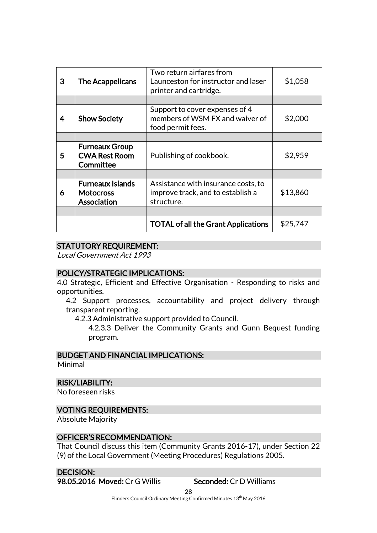| 3 | The Acappelicans                                           | Two return airfares from<br>Launceston for instructor and laser<br>printer and cartridge. | \$1,058  |
|---|------------------------------------------------------------|-------------------------------------------------------------------------------------------|----------|
|   |                                                            |                                                                                           |          |
| 4 | <b>Show Society</b>                                        | Support to cover expenses of 4<br>members of WSM FX and waiver of<br>food permit fees.    | \$2,000  |
|   |                                                            |                                                                                           |          |
| 5 | <b>Furneaux Group</b><br><b>CWA Rest Room</b><br>Committee | Publishing of cookbook.                                                                   | \$2,959  |
|   |                                                            |                                                                                           |          |
| 6 | <b>Furneaux Islands</b><br><b>Motocross</b><br>Association | Assistance with insurance costs, to<br>improve track, and to establish a<br>structure.    | \$13,860 |
|   |                                                            |                                                                                           |          |
|   |                                                            | <b>TOTAL of all the Grant Applications</b>                                                | \$25,747 |

# STATUTORY REQUIREMENT:

Local Government Act 1993

# POLICY/STRATEGIC IMPLICATIONS:

4.0 Strategic, Efficient and Effective Organisation - Responding to risks and opportunities.

4.2 Support processes, accountability and project delivery through transparent reporting.

4.2.3 Administrative support provided to Council.

4.2.3.3 Deliver the Community Grants and Gunn Bequest funding program.

# BUDGET AND FINANCIAL IMPLICATIONS:

Minimal

# RISK/LIABILITY:

No foreseen risks

# VOTING REQUIREMENTS:

Absolute Majority

# OFFICER'S RECOMMENDATION:

That Council discuss this item (Community Grants 2016-17), under Section 22 (9) of the Local Government (Meeting Procedures) Regulations 2005.

# DECISION:

98.05.2016 Moved: Cr G Willis Seconded: Cr D Williams

28 Flinders Council Ordinary Meeting Confirmed Minutes 13<sup>th</sup> May 2016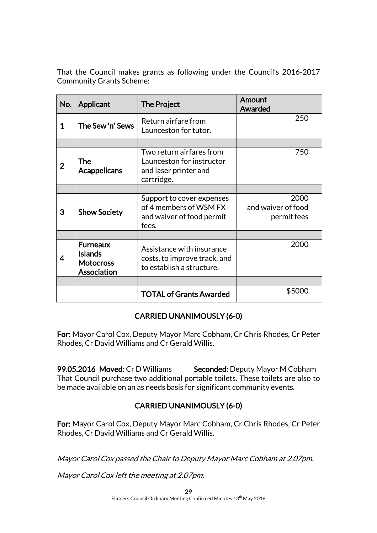That the Council makes grants as following under the Council's 2016-2017 Community Grants Scheme:

| No.            | Applicant                                                                   | The Project                                                                                  | Amount<br><b>Awarded</b>                  |
|----------------|-----------------------------------------------------------------------------|----------------------------------------------------------------------------------------------|-------------------------------------------|
| 1              | The Sew'n' Sews                                                             | Return airfare from<br>Launceston for tutor.                                                 | 250                                       |
|                |                                                                             |                                                                                              |                                           |
| $\overline{2}$ | The<br><b>Acappelicans</b>                                                  | Two return airfares from<br>Launceston for instructor<br>and laser printer and<br>cartridge. | 750                                       |
|                |                                                                             |                                                                                              |                                           |
| 3              | <b>Show Society</b>                                                         | Support to cover expenses<br>of 4 members of WSM FX<br>and waiver of food permit<br>fees.    | 2000<br>and waiver of food<br>permit fees |
|                |                                                                             |                                                                                              |                                           |
| 4              | <b>Furneaux</b><br><b>Islands</b><br><b>Motocross</b><br><b>Association</b> | Assistance with insurance<br>costs, to improve track, and<br>to establish a structure.       | 2000                                      |
|                |                                                                             |                                                                                              |                                           |
|                |                                                                             | <b>TOTAL of Grants Awarded</b>                                                               | \$5000                                    |

# CARRIED UNANIMOUSLY (6-0)

For: Mayor Carol Cox, Deputy Mayor Marc Cobham, Cr Chris Rhodes, Cr Peter Rhodes, Cr David Williams and Cr Gerald Willis.

99.05.2016 Moved: Cr D Williams Seconded: Deputy Mayor M Cobham That Council purchase two additional portable toilets. These toilets are also to be made available on an as needs basis for significant community events.

# CARRIED UNANIMOUSLY (6-0)

For: Mayor Carol Cox, Deputy Mayor Marc Cobham, Cr Chris Rhodes, Cr Peter Rhodes, Cr David Williams and Cr Gerald Willis.

Mayor Carol Cox passed the Chair to Deputy Mayor Marc Cobham at 2.07pm.

Mayor Carol Cox left the meeting at 2.07pm.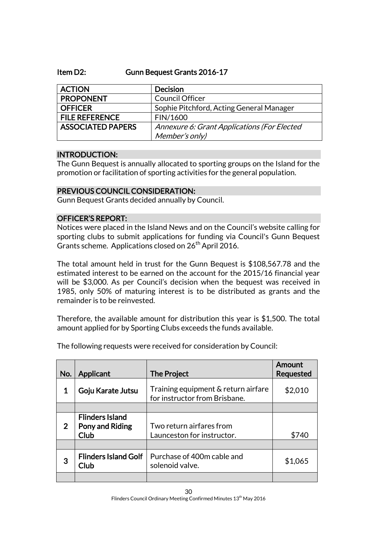# Item D2: Gunn Bequest Grants 2016-17

| <b>ACTION</b>            | <b>Decision</b>                             |
|--------------------------|---------------------------------------------|
| <b>PROPONENT</b>         | <b>Council Officer</b>                      |
| <b>OFFICER</b>           | Sophie Pitchford, Acting General Manager    |
| <b>FILE REFERENCE</b>    | FIN/1600                                    |
| <b>ASSOCIATED PAPERS</b> | Annexure 6: Grant Applications (For Elected |
|                          | Member's only)                              |

# INTRODUCTION:

The Gunn Bequest is annually allocated to sporting groups on the Island for the promotion or facilitation of sporting activities for the general population.

# PREVIOUS COUNCIL CONSIDERATION:

Gunn Bequest Grants decided annually by Council.

# OFFICER'S REPORT:

Notices were placed in the Island News and on the Council's website calling for sporting clubs to submit applications for funding via Council's Gunn Bequest Grants scheme. Applications closed on 26<sup>th</sup> April 2016.

The total amount held in trust for the Gunn Bequest is \$108,567.78 and the estimated interest to be earned on the account for the 2015/16 financial year will be \$3,000. As per Council's decision when the bequest was received in 1985, only 50% of maturing interest is to be distributed as grants and the remainder is to be reinvested.

Therefore, the available amount for distribution this year is \$1,500. The total amount applied for by Sporting Clubs exceeds the funds available.

| No. | Applicant                                         | <b>The Project</b>                                                   | Amount<br><b>Requested</b> |
|-----|---------------------------------------------------|----------------------------------------------------------------------|----------------------------|
| 1   | Goju Karate Jutsu                                 | Training equipment & return airfare<br>for instructor from Brisbane. | \$2,010                    |
|     |                                                   |                                                                      |                            |
| 2   | <b>Flinders Island</b><br>Pony and Riding<br>Club | Two return airfares from<br>Launceston for instructor.               | \$740                      |
|     |                                                   |                                                                      |                            |
| 3   | <b>Flinders Island Golf</b><br>Club               | Purchase of 400m cable and<br>solenoid valve.                        | \$1,065                    |
|     |                                                   |                                                                      |                            |

The following requests were received for consideration by Council: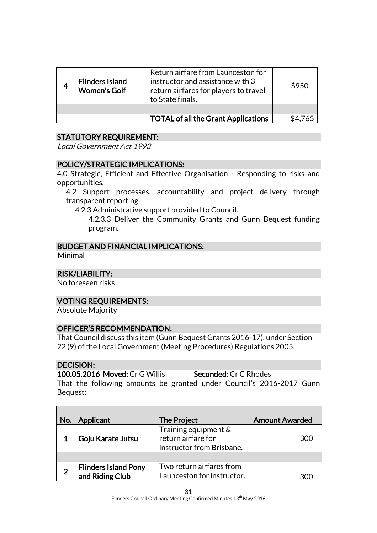| <b>Flinders Island</b><br><b>Women's Golf</b> | Return airfare from Launceston for<br>instructor and assistance with 3<br>return airfares for players to travel<br>to State finals. | \$950 |
|-----------------------------------------------|-------------------------------------------------------------------------------------------------------------------------------------|-------|
|                                               |                                                                                                                                     |       |
|                                               | <b>TOTAL of all the Grant Applications</b>                                                                                          |       |

# STATUTORY REQUIREMENT:

Local Government Act 1993

# POLICY/STRATEGIC IMPLICATIONS:

4.0 Strategic, Efficient and Effective Organisation - Responding to risks and opportunities.

4.2 Support processes, accountability and project delivery through transparent reporting.

4.2.3 Administrative support provided to Council.

4.2.3.3 Deliver the Community Grants and Gunn Bequest funding program.

# BUDGET AND FINANCIAL IMPLICATIONS:

Minimal

# RISK/LIABILITY:

No foreseen risks

# VOTING REQUIREMENTS:

Absolute Majority

# OFFICER'S RECOMMENDATION:

That Council discuss this item (Gunn Bequest Grants 2016-17), under Section 22 (9) of the Local Government (Meeting Procedures) Regulations 2005.

# DECISION:

100.05.2016 Moved: Cr G Willis Seconded: Cr C Rhodes That the following amounts be granted under Council's 2016-2017 Gunn Bequest:

| No. | Applicant                                      | The Project                                                             | <b>Amount Awarded</b> |
|-----|------------------------------------------------|-------------------------------------------------------------------------|-----------------------|
|     | Goju Karate Jutsu                              | Training equipment &<br>return airfare for<br>instructor from Brisbane. | 300                   |
|     |                                                |                                                                         |                       |
| 2   | <b>Flinders Island Pony</b><br>and Riding Club | Two return airfares from<br>Launceston for instructor.                  | 300                   |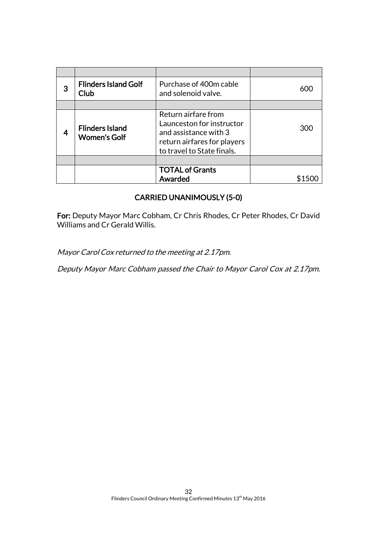| 3 | <b>Flinders Island Golf</b><br>Club           | Purchase of 400m cable<br>and solenoid valve.                                                                                          | 600 |
|---|-----------------------------------------------|----------------------------------------------------------------------------------------------------------------------------------------|-----|
|   |                                               |                                                                                                                                        |     |
|   | <b>Flinders Island</b><br><b>Women's Golf</b> | Return airfare from<br>Launceston for instructor<br>and assistance with 3<br>return airfares for players<br>to travel to State finals. | 300 |
|   |                                               |                                                                                                                                        |     |
|   |                                               | <b>TOTAL of Grants</b><br><b>Awarded</b>                                                                                               |     |

# CARRIED UNANIMOUSLY (5-0)

For: Deputy Mayor Marc Cobham, Cr Chris Rhodes, Cr Peter Rhodes, Cr David Williams and Cr Gerald Willis.

Mayor Carol Cox returned to the meeting at 2.17pm.

Deputy Mayor Marc Cobham passed the Chair to Mayor Carol Cox at 2.17pm.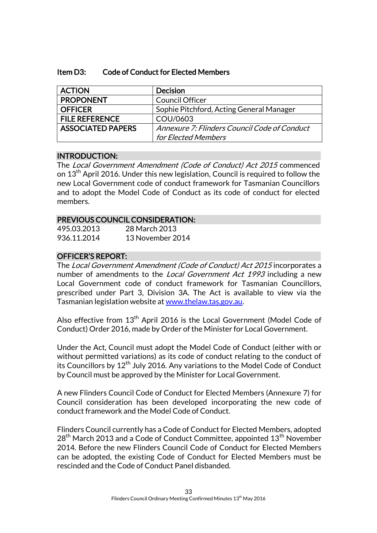| <b>Code of Conduct for Elected Members</b><br>Item D3: |  |
|--------------------------------------------------------|--|
|--------------------------------------------------------|--|

| <b>ACTION</b>            | <b>Decision</b>                              |
|--------------------------|----------------------------------------------|
| <b>PROPONENT</b>         | <b>Council Officer</b>                       |
| <b>OFFICER</b>           | Sophie Pitchford, Acting General Manager     |
| <b>FILE REFERENCE</b>    | COU/0603                                     |
| <b>ASSOCIATED PAPERS</b> | Annexure 7: Flinders Council Code of Conduct |
|                          | for Elected Members                          |

# INTRODUCTION:

The Local Government Amendment (Code of Conduct) Act 2015 commenced on 13<sup>th</sup> April 2016. Under this new legislation, Council is required to follow the new Local Government code of conduct framework for Tasmanian Councillors and to adopt the Model Code of Conduct as its code of conduct for elected members.

# PREVIOUS COUNCIL CONSIDERATION:

| 495.03.2013 | 28 March 2013    |
|-------------|------------------|
| 936.11.2014 | 13 November 2014 |

# OFFICER'S REPORT:

The Local Government Amendment (Code of Conduct) Act 2015 incorporates a number of amendments to the *Local Government Act 1993* including a new Local Government code of conduct framework for Tasmanian Councillors, prescribed under Part 3, Division 3A. The Act is available to view via the Tasmanian legislation website a[t www.thelaw.tas.gov.au.](http://www.thelaw.tas.gov.au/)

Also effective from 13<sup>th</sup> April 2016 is the Local Government (Model Code of Conduct) Order 2016, made by Order of the Minister for Local Government.

Under the Act, Council must adopt the Model Code of Conduct (either with or without permitted variations) as its code of conduct relating to the conduct of its Councillors by  $12<sup>th</sup>$  July 2016. Any variations to the Model Code of Conduct by Council must be approved by the Minister for Local Government.

A new Flinders Council Code of Conduct for Elected Members (Annexure 7) for Council consideration has been developed incorporating the new code of conduct framework and the Model Code of Conduct.

Flinders Council currently has a Code of Conduct for Elected Members, adopted  $28<sup>th</sup>$  March 2013 and a Code of Conduct Committee, appointed 13<sup>th</sup> November 2014. Before the new Flinders Council Code of Conduct for Elected Members can be adopted, the existing Code of Conduct for Elected Members must be rescinded and the Code of Conduct Panel disbanded.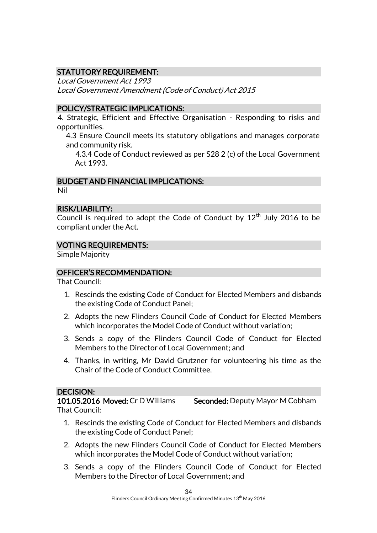# STATUTORY REQUIREMENT:

Local Government Act 1993 Local Government Amendment (Code of Conduct) Act 2015

# POLICY/STRATEGIC IMPLICATIONS:

4. Strategic, Efficient and Effective Organisation - Responding to risks and opportunities.

4.3 Ensure Council meets its statutory obligations and manages corporate and community risk.

4.3.4 Code of Conduct reviewed as per S28 2 (c) of the Local Government Act 1993.

# BUDGET AND FINANCIAL IMPLICATIONS:

Nil

# RISK/LIABILITY:

Council is required to adopt the Code of Conduct by  $12<sup>th</sup>$  July 2016 to be compliant under the Act.

# VOTING REQUIREMENTS:

Simple Majority

# OFFICER'S RECOMMENDATION:

That Council:

- 1. Rescinds the existing Code of Conduct for Elected Members and disbands the existing Code of Conduct Panel;
- 2. Adopts the new Flinders Council Code of Conduct for Elected Members which incorporates the Model Code of Conduct without variation;
- 3. Sends a copy of the Flinders Council Code of Conduct for Elected Members to the Director of Local Government; and
- 4. Thanks, in writing, Mr David Grutzner for volunteering his time as the Chair of the Code of Conduct Committee.

# DECISION:

101.05.2016 Moved: Cr D Williams Seconded: Deputy Mayor M Cobham That Council:

- 1. Rescinds the existing Code of Conduct for Elected Members and disbands the existing Code of Conduct Panel;
- 2. Adopts the new Flinders Council Code of Conduct for Elected Members which incorporates the Model Code of Conduct without variation;
- 3. Sends a copy of the Flinders Council Code of Conduct for Elected Members to the Director of Local Government; and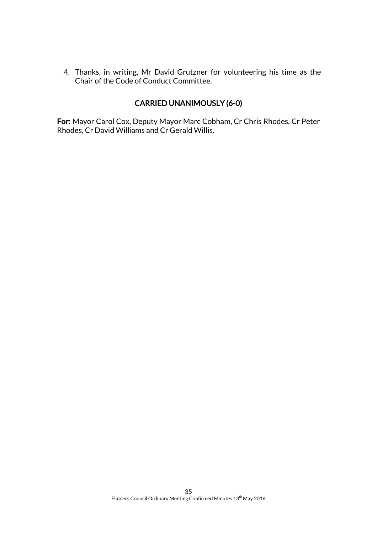4. Thanks, in writing, Mr David Grutzner for volunteering his time as the Chair of the Code of Conduct Committee.

# CARRIED UNANIMOUSLY (6-0)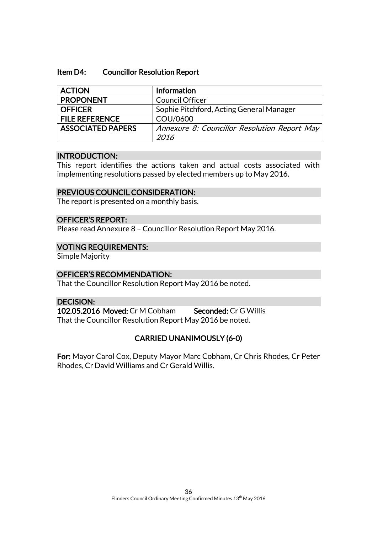#### Item D4: Councillor Resolution Report

| <b>ACTION</b>            | <b>Information</b>                           |
|--------------------------|----------------------------------------------|
| <b>PROPONENT</b>         | <b>Council Officer</b>                       |
| <b>OFFICER</b>           | Sophie Pitchford, Acting General Manager     |
| <b>FILE REFERENCE</b>    | COU/0600                                     |
| <b>ASSOCIATED PAPERS</b> | Annexure 8: Councillor Resolution Report May |
|                          | 2016                                         |

#### INTRODUCTION:

This report identifies the actions taken and actual costs associated with implementing resolutions passed by elected members up to May 2016.

# PREVIOUS COUNCIL CONSIDERATION:

The report is presented on a monthly basis.

# OFFICER'S REPORT:

Please read Annexure 8 – Councillor Resolution Report May 2016.

# VOTING REQUIREMENTS:

Simple Majority

# OFFICER'S RECOMMENDATION:

That the Councillor Resolution Report May 2016 be noted.

# DECISION:

102.05.2016 Moved: Cr M Cobham Seconded: Cr G Willis That the Councillor Resolution Report May 2016 be noted.

# CARRIED UNANIMOUSLY (6-0)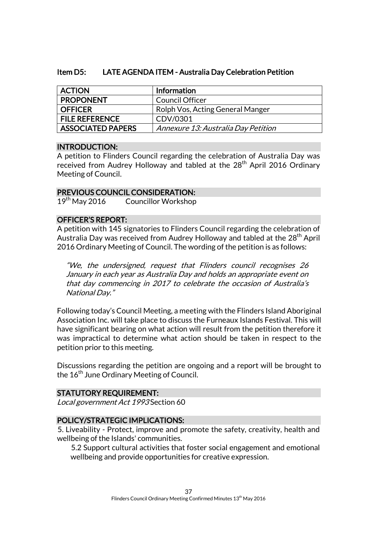# Item D5: LATE AGENDA ITEM - Australia Day Celebration Petition

| <b>ACTION</b>            | Information                         |
|--------------------------|-------------------------------------|
| <b>PROPONENT</b>         | Council Officer                     |
| <b>OFFICER</b>           | Rolph Vos, Acting General Manger    |
| <b>FILE REFERENCE</b>    | CDV/0301                            |
| <b>ASSOCIATED PAPERS</b> | Annexure 13: Australia Day Petition |

# INTRODUCTION:

A petition to Flinders Council regarding the celebration of Australia Day was received from Audrey Holloway and tabled at the 28<sup>th</sup> April 2016 Ordinary Meeting of Council.

# PREVIOUS COUNCIL CONSIDERATION:

19<sup>th</sup> May 2016 Councillor Workshop

# OFFICER'S REPORT:

A petition with 145 signatories to Flinders Council regarding the celebration of Australia Day was received from Audrey Holloway and tabled at the 28<sup>th</sup> April 2016 Ordinary Meeting of Council. The wording of the petition is as follows:

"We, the undersigned, request that Flinders council recognises 26 January in each year as Australia Day and holds an appropriate event on that day commencing in 2017 to celebrate the occasion of Australia's National Day."

Following today's Council Meeting, a meeting with the Flinders Island Aboriginal Association Inc. will take place to discuss the Furneaux Islands Festival. This will have significant bearing on what action will result from the petition therefore it was impractical to determine what action should be taken in respect to the petition prior to this meeting.

Discussions regarding the petition are ongoing and a report will be brought to the 16<sup>th</sup> June Ordinary Meeting of Council.

# STATUTORY REQUIREMENT:

Local government Act 1993 Section 60

# POLICY/STRATEGIC IMPLICATIONS:

5. Liveability - Protect, improve and promote the safety, creativity, health and wellbeing of the Islands' communities.

5.2 Support cultural activities that foster social engagement and emotional wellbeing and provide opportunities for creative expression.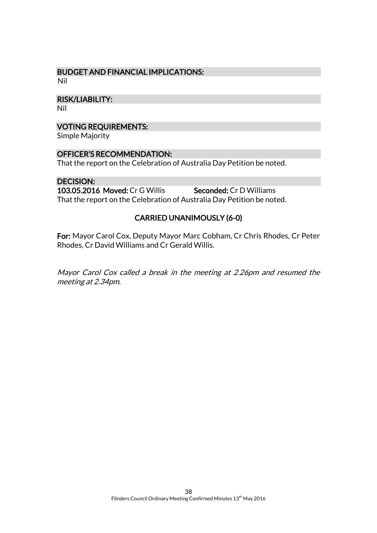#### BUDGET AND FINANCIAL IMPLICATIONS: Nil

RISK/LIABILITY:

Nil

# VOTING REQUIREMENTS:

Simple Majority

# OFFICER'S RECOMMENDATION:

That the report on the Celebration of Australia Day Petition be noted.

# DECISION:

103.05.2016 Moved: Cr G Willis Seconded: Cr D Williams That the report on the Celebration of Australia Day Petition be noted.

# CARRIED UNANIMOUSLY (6-0)

For: Mayor Carol Cox, Deputy Mayor Marc Cobham, Cr Chris Rhodes, Cr Peter Rhodes, Cr David Williams and Cr Gerald Willis.

Mayor Carol Cox called a break in the meeting at 2.26pm and resumed the meeting at 2.34pm.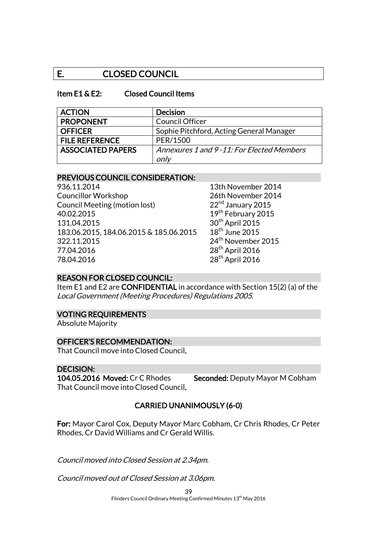# E. CLOSED COUNCIL

#### Item E1 & E2: Closed Council Items

| <b>ACTION</b>            | <b>Decision</b>                           |
|--------------------------|-------------------------------------------|
| <b>PROPONENT</b>         | <b>Council Officer</b>                    |
| <b>OFFICER</b>           | Sophie Pitchford, Acting General Manager  |
| <b>FILE REFERENCE</b>    | PER/1500                                  |
| <b>ASSOCIATED PAPERS</b> | Annexures 1 and 9-11: For Elected Members |
|                          | only                                      |

#### PREVIOUS COUNCIL CONSIDERATION:

936.11.2014 13th November 2014 Councillor Workshop<br>
Council Meeting (motion lost) 22<sup>nd</sup> January 2015 Council Meeting (motion lost) 40.02.2015 19th February 2015 131.04.2015 30<sup>th</sup> April 2015 183.06.2015, 184.06.2015 & 185.06.2015 18<sup>th</sup> June 2015 322.11.2015 24th November 2015 77.04.2016 28<sup>th</sup> April 2016 78.04.2016 28<sup>th</sup> April 2016

# REASON FOR CLOSED COUNCIL:

Item E1 and E2 are CONFIDENTIAL in accordance with Section 15(2) (a) of the Local Government (Meeting Procedures) Regulations 2005.

#### VOTING REQUIREMENTS

Absolute Majority

#### OFFICER'S RECOMMENDATION:

That Council move into Closed Council.

#### DECISION:

That Council move into Closed Council.

104.05.2016 Moved: Cr C Rhodes Seconded: Deputy Mayor M Cobham

# CARRIED UNANIMOUSLY (6-0)

For: Mayor Carol Cox, Deputy Mayor Marc Cobham, Cr Chris Rhodes, Cr Peter Rhodes, Cr David Williams and Cr Gerald Willis.

Council moved into Closed Session at 2.34pm.

Council moved out of Closed Session at 3.06pm.

39 Flinders Council Ordinary Meeting Confirmed Minutes 13<sup>th</sup> May 2016